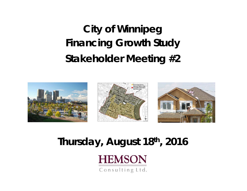**City of Winnipeg Financing Growth Study Stakeholder Meeting #2**



### **Thursday, August 18th, 2016**



Consulting Ltd.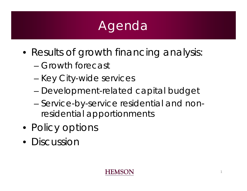# Agenda

- Results of growth financing analysis:
	- Growth forecast
	- Key City-wide services
	- –Development-related capital budget
	- – Service-by-service residential and nonresidential apportionments
- Policy options
- Discussior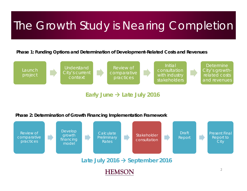### The Growth Study is Nearing Completion

**Phase 1: Funding Options and Determination of Development-Related Costs and Revenues**



**Early June Late July 2016**

**Phase 2: Determination of Growth Financing Implementation Framework**

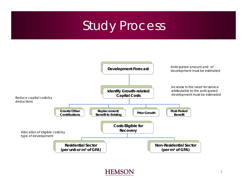### Study Process

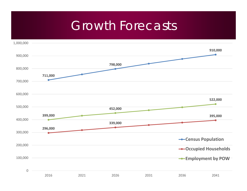### Growth Forecasts

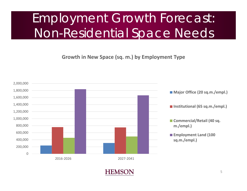## Employment Growth Forecast: Non-Residential Space Needs

**Growth in New Space (sq. m.) by Employment Type**

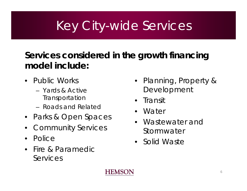# Key City-wide Services

### **Services considered in the growth financing model include:**

- Public Works
	- Yards & Active **Transportation**
	- Roads and Related
- Parks & Open Spaces
- •Community Services
- $\bullet$ Police
- Fire & Paramedic **Services**
- Planning, Property & Development
- •**Transit**
- Water
- • Wastewater and Stormwater
- Solid Waste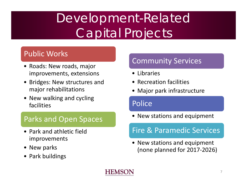# Development-Related Capital Projects

### Public Works

- Roads: New roads, major improvements, extensions
- Bridges: New structures and major rehabilitations
- New walking and cycling facilities

#### Parks and Open Spaces

- Park and athletic field improvements
- New parks
- Park buildings

### Community Services

- Libraries
- Recreation facilities
- Major park infrastructure

### Police

• New stations and equipment

### Fire& Paramedic Services

• New stations and equipment (none planned for 2017 ‐2026)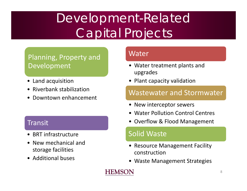# Development-Related Capital Projects

### Planning, Property and Development

- Land acquisition
- Riverbank stabilization
- •Downtown enhancement

#### **Transit**

- BRT infrastructure
- New mechanical and storage facilities
- Additional buses

#### Water

- Water treatment plants and upgrades
- Plant capacity validation

#### Wastewater and Stormwater

- New interceptor sewers
- Water Pollution Control Centres
- Overflow & Flood Management

#### Solid Waste

- Resource Management Facility construction
- Waste Management Strategies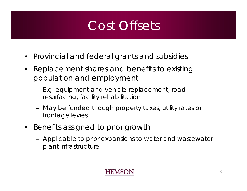### Cost Offsets

- Provincial and federal grants and subsidies
- • Replacement shares and benefits to existing population and employment
	- E.g. equipment and vehicle replacement, road resurfacing, facility rehabilitation
	- May be funded though property taxes, utility rates or frontage levies
- Benefits assigned to prior growth
	- Applicable to prior expansions to water and wastewater plant infrastructure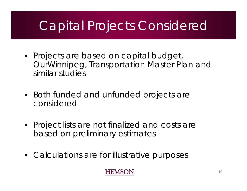### Capital Projects Considered

- Projects are based on capital budget, *OurWinnipeg*, Transportation Master Plan and similar studies
- Both funded and unfunded projects are considered
- Project lists are not finalized and costs are based on preliminary estimates
- Calculations are for illustrative purposes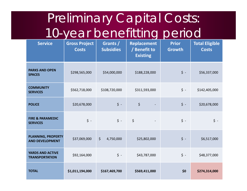# Preliminary Capital Costs: 10-year benefitting period

| <b>Service</b>                                      | <b>Gross Project</b><br><b>Costs</b> | Grants /<br><b>Subsidies</b> | <b>Replacement</b><br>/ Benefit to<br><b>Existing</b> | <b>Prior</b><br>Growth | <b>Total Eligible</b><br><b>Costs</b> |
|-----------------------------------------------------|--------------------------------------|------------------------------|-------------------------------------------------------|------------------------|---------------------------------------|
| <b>PARKS AND OPEN</b><br><b>SPACES</b>              | \$298,565,000                        | \$54,000,000                 | \$188,228,000                                         | $\zeta$ -              | \$56,337,000                          |
| <b>COMMUNITY</b><br><b>SERVICES</b>                 | \$562,718,000                        | \$108,720,000                | \$311,593,000                                         | $\zeta$ -              | \$142,405,000                         |
| <b>POLICE</b>                                       | \$20,678,000                         | $\zeta$ -                    | \$                                                    | $\zeta$ -              | \$20,678,000                          |
| <b>FIRE &amp; PARAMEDIC</b><br><b>SERVICES</b>      | $\boldsymbol{\zeta}$ -               | $\zeta$ -                    | $\zeta$                                               | $\mathsf{S}$ -         | $\zeta$ -                             |
| <b>PLANNING, PROPERTY</b><br><b>AND DEVELOPMENT</b> | \$37,069,000                         | $\zeta$<br>4,750,000         | \$25,802,000                                          | $\zeta$ -              | \$6,517,000                           |
| <b>YARDS AND ACTIVE</b><br><b>TRANSPORTATION</b>    | \$92,164,000                         | $\zeta$ -                    | \$43,787,000                                          | $\zeta$ -              | \$48,377,000                          |
| <b>TOTAL</b>                                        | \$1,011,194,000                      | \$167,469,700                | \$569,411,000                                         | \$0                    | \$274,314,000                         |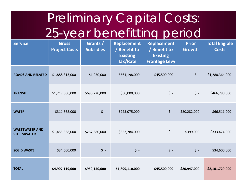# Preliminary Capital Costs: 25-year benefitting period

| <b>Service</b>                             | <b>Gross</b><br><b>Project Costs</b> | Grants /<br><b>Subsidies</b> | <b>Replacement</b><br>/ Benefit to<br><b>Existing</b><br>Tax/Rate | <b>Replacement</b><br>/ Benefit to<br><b>Existing</b><br><b>Frontage Levy</b> | <b>Prior</b><br><b>Growth</b> | <b>Total Eligible</b><br><b>Costs</b> |
|--------------------------------------------|--------------------------------------|------------------------------|-------------------------------------------------------------------|-------------------------------------------------------------------------------|-------------------------------|---------------------------------------|
| <b>ROADS AND RELATED</b>                   | \$1,888,313,000                      | \$1,250,000                  | \$561,198,000                                                     | \$45,500,000                                                                  | $\boldsymbol{\zeta}$ -        | \$1,280,364,000                       |
| <b>TRANSIT</b>                             | \$1,217,000,000                      | \$690,220,000                | \$60,000,000                                                      | $\zeta$ -                                                                     | $\zeta$ -                     | \$466,780,000                         |
| <b>WATER</b>                               | \$311,868,000                        | $\boldsymbol{\zeta}$ -       | \$225,075,000                                                     | $\boldsymbol{\dot{\varsigma}}$ -                                              | \$20,282,000                  | \$66,511,000                          |
| <b>WASTEWATER AND</b><br><b>STORMWATER</b> | \$1,455,338,000                      | \$267,680,000                | \$853,784,000                                                     | $\zeta$ -                                                                     | \$399,000                     | \$333,474,000                         |
| <b>SOLID WASTE</b>                         | \$34,600,000                         | $\boldsymbol{\zeta}$ -       | $\mathsf{S}$ -                                                    | $\boldsymbol{\zeta}$ -                                                        | $\mathsf{S}$ -                | \$34,600,000                          |
| <b>TOTAL</b>                               | \$4,907,119,000                      | \$959,150,000                | \$1,899,110,000                                                   | \$45,500,000                                                                  | \$20,947,000                  | \$2,181,729,000                       |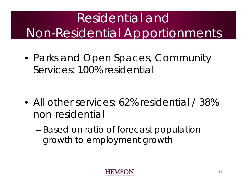# Residential and Non-Residential Apportionments

• Parks and Open Spaces, Community Services: 100% residential

- All other services: 62% residential / 38% non-residential
	- – Based on ratio of forecast population growth to employment growth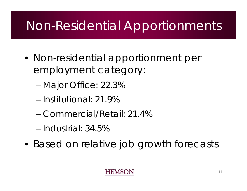## Non-Residential Apportionments

- Non-residential apportionment per employment category:
	- –Major Office: 22.3%
	- Institutional: 21.9%
	- Commercial/Retail: 21.4%
	- Industrial: 34.5%
- Based on relative job growth forecasts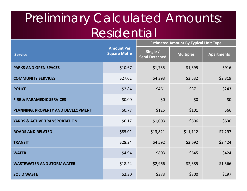### Preliminary Calculated Amounts: Residential

|                                          |                                          | <b>Estimated Amount By Typical Unit Type</b> |                  |                   |  |
|------------------------------------------|------------------------------------------|----------------------------------------------|------------------|-------------------|--|
| <b>Service</b>                           | <b>Amount Per</b><br><b>Square Metre</b> | Single /<br><b>Semi Detached</b>             | <b>Multiples</b> | <b>Apartments</b> |  |
| <b>PARKS AND OPEN SPACES</b>             | \$10.67                                  | \$1,735                                      | \$1,395          | \$916             |  |
| <b>COMMUNITY SERVICES</b>                | \$27.02                                  | \$4,393                                      | \$3,532          | \$2,319           |  |
| <b>POLICE</b>                            | \$2.84                                   | \$461                                        | \$371            | \$243             |  |
| <b>FIRE &amp; PARAMEDIC SERVICES</b>     | \$0.00                                   | \$0                                          | \$0              | \$0               |  |
| PLANNING, PROPERTY AND DEVELOPMENT       | \$0.77                                   | \$125                                        | \$101            | \$66              |  |
| <b>YARDS &amp; ACTIVE TRANSPORTATION</b> | \$6.17                                   | \$1,003                                      | \$806            | \$530             |  |
| <b>ROADS AND RELATED</b>                 | \$85.01                                  | \$13,821                                     | \$11,112         | \$7,297           |  |
| <b>TRANSIT</b>                           | \$28.24                                  | \$4,592                                      | \$3,692          | \$2,424           |  |
| <b>WATER</b>                             | \$4.94                                   | \$803                                        | \$645            | \$424             |  |
| <b>WASTEWATER AND STORMWATER</b>         | \$18.24                                  | \$2,966                                      | \$2,385          | \$1,566           |  |
| <b>SOLID WASTE</b>                       | \$2.30                                   | \$373                                        | \$300            | \$197             |  |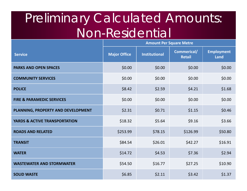### Preliminary Calculated Amounts: Non-Residential

|                                          | <b>Amount Per Square Metre</b> |                      |                              |                           |
|------------------------------------------|--------------------------------|----------------------|------------------------------|---------------------------|
| <b>Service</b>                           | <b>Major Office</b>            | <b>Institutional</b> | Commerical/<br><b>Retail</b> | <b>Employment</b><br>Land |
| <b>PARKS AND OPEN SPACES</b>             | \$0.00                         | \$0.00               | \$0.00                       | \$0.00                    |
| <b>COMMUNITY SERVICES</b>                | \$0.00                         | \$0.00               | \$0.00                       | \$0.00                    |
| <b>POLICE</b>                            | \$8.42                         | \$2.59               | \$4.21                       | \$1.68                    |
| <b>FIRE &amp; PARAMEDIC SERVICES</b>     | \$0.00                         | \$0.00               | \$0.00                       | \$0.00                    |
| PLANNING, PROPERTY AND DEVELOPMENT       | \$2.31                         | \$0.71               | \$1.15                       | \$0.46                    |
| <b>YARDS &amp; ACTIVE TRANSPORTATION</b> | \$18.32                        | \$5.64               | \$9.16                       | \$3.66                    |
| <b>ROADS AND RELATED</b>                 | \$253.99                       | \$78.15              | \$126.99                     | \$50.80                   |
| <b>TRANSIT</b>                           | \$84.54                        | \$26.01              | \$42.27                      | \$16.91                   |
| <b>WATER</b>                             | \$14.72                        | \$4.53               | \$7.36                       | \$2.94                    |
| <b>WASTEWATER AND STORMWATER</b>         | \$54.50                        | \$16.77              | \$27.25                      | \$10.90                   |
| <b>SOLID WASTE</b>                       | \$6.85                         | \$2.11               | \$3.42                       | \$1.37                    |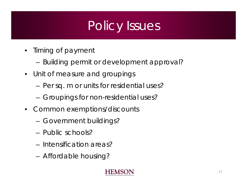# Policy Issues

- $\bullet$  Timing of payment
	- –Building permit or development approval?
- $\bullet$  Unit of measure and groupings
	- –Per sq. m or units for residential uses?
	- –Groupings for non-residential uses?
- $\bullet$  Common exemptions/discounts
	- –Government buildings?
	- Public schools?
	- Intensification areas?
	- –Affordable housing?